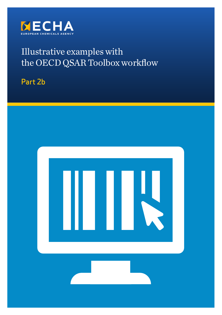

# Illustrative examples with the OECD QSAR Toolbox workflow

Part 2b

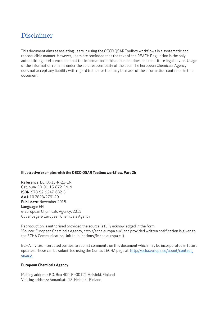### Disclaimer

This document aims at assisting users in using the OECD QSAR Toolbox workflows in a systematic and reproducible manner. However, users are reminded that the text of the REACH Regulation is the only authentic legal reference and that the information in this document does not constitute legal advice. Usage of the information remains under the sole responsibility of the user. The European Chemicals Agency does not accept any liability with regard to the use that may be made of the information contained in this document.

#### **Illustrative examples with the OECD QSAR Toolbox workflow. Part 2b**

**Reference**: ECHA-15-R-23-EN **Cat. num**: ED-01-15-872-EN-N **ISBN**: 978-92-9247-682-3 **d.o.i**: 10.2823/279129 **Publ. date**: November 2015 **Language**: EN © European Chemicals Agency, 2015 Cover page © European Chemicals Agency

Reproduction is authorised provided the source is fully acknowledged in the form "Source: European Chemicals Agency, http://echa.europa.eu/", and provided written notification is given to the ECHA Communication Unit (publications@echa.europa.eu).

ECHA invites interested parties to submit comments on this document which may be incorporated in future updates. These can be submitted using the Contact ECHA page at: http://echa.europa.eu/about/contact\_ en.asp

#### **European Chemicals Agency**

Mailing address: P.O. Box 400, FI-00121 Helsinki, Finland Visiting address: Annankatu 18, Helsinki, Finland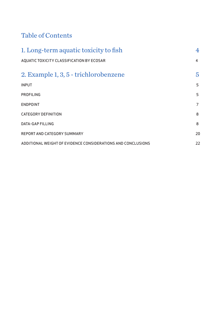# Table of Contents

| 1. Long-term aquatic toxicity to fish                        | 4  |
|--------------------------------------------------------------|----|
| AQUATIC TOXICITY CLASSIFICATION BY ECOSAR                    | 4  |
| 2. Example 1, 3, 5 - trichlorobenzene                        | 5  |
| <b>INPUT</b>                                                 | 5  |
| <b>PROFILING</b>                                             | 5  |
| <b>ENDPOINT</b>                                              | 7  |
| <b>CATEGORY DEFINITION</b>                                   | 8  |
| <b>DATA-GAP FILLING</b>                                      | 8  |
| <b>REPORT AND CATEGORY SUMMARY</b>                           | 20 |
| ADDITIONAL WEIGHT OF EVIDENCE CONSIDERATIONS AND CONCLUSIONS | 22 |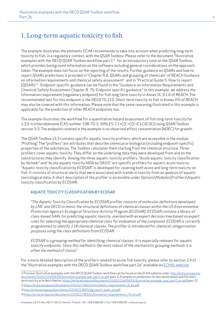## 1. Long-term aquatic toxicity to fish

The example illustrates the elements ECHA recommends to take into account when predicting long-term toxicity to fish, in a regulatory context, with the QSAR Toolbox. Please refer to the document "Illustrative examples with the OECD QSAR Toolbox workflow part  $1<sup>n</sup>$  for an introductory note on the QSAR Toolbox, which provides background information on the software including general considerations on the approach taken. The example does not focus on the reporting of the results. Further guidance on QSARs and how to report QSARs predictions is provided in "Chapter R.6: QSARs and grouping of chemicals" of REACH Guidance on information requirements and chemical safety assessment<sup>2</sup> and in "Practical Guide 5: How to report (Q)SARs"3 . Endpoint specific guidance can be found in the "Guidance on Information Requirements and Chemical Safety Assessment Chapter R. 7b: Endpoint specific guidance.4 In this example, we address the information requirement (regulatory endpoint) for fish long-term toxicity in Annex IX, 9.1.6 of REACH. The recommended test for this endpoint is the OECD TG 210. Short-term toxicity to fish in Annex VIII of REACH may also be covered with this information. Please note that the same reasoning illustrated in this example is applicable for the prediction of other REACH endpoints too.

The example illustrates the workflow for a quantitative hazard assessment of fish long-term toxicity for 1,3,5-trichlorobenzene (CAS number 108-70-3, SMILES: C1=C(C=C(C=C1Cl)Cl)Cl) using QSAR Toolbox version 3.3. The endpoint covered in the example is no observed effect concentration (NOEC) for growth.

The QSAR Toolbox v3.3 contains specific aquatic toxicity profilers, which are accessible in the module "Profiling". The "profilers" are attributes that describe chemical or biological (including endpoint-specific) properties of the substances. The Toolbox calculates them starting from the chemical structure. Three profilers cover aquatic toxicity. They differ on the underlying data they were developed from and on the substructures they identify. Among the three aquatic toxicity profilers, "Acute aquatic toxicity classification by Verhaar" and "Acute aquatic toxicity MOA by OASIS" are specific profilers for aquatic acute toxicity. "Aquatic toxicity classification by ECOSAR" is developed for covering both acute and long-term toxicity on fish. It consists of structural alerts that were associated with trends in toxicity from an analysis of aquatic toxicological data. A short description of the profiler is accessible under Options\Modules\Profilers\Aquatic toxicity classification by ECOSAR:

#### AQUATIC TOXICITY CLASSIFICATION BY ECOSAR

"The Aquatic Toxicity Classification by ECOSAR profiler consists of molecular definitions developed by LMC and OECD to mimic the structural definitions of chemical classes within the US Environmental Protection Agency's Ecological Structure-Activity Program (ECOSAR). ECOSAR contains a library of class-based SARs for predicting aquatic toxicity, overlaid with an expert decision tree based on expert rules for selecting the appropriate chemical class for evaluation of the compound. ECOSAR is currently programmed to identify 118 chemical classes. The profiler is introduced for chemical categorisation purposes using the class definitions from ECOSAR.

ECOSAR is a grouping method for identifying chemical classes. It is especially relevant for aquatic toxicity endpoints. Since this method is the most robust of the mechanistic grouping methods it is often the method of choice."

For a more detailed description of the profilers related to acute fish toxicity, please refer to section 2.4 of the "Illustrative examples with the OECD QSAR Toolbox workflow part 2a" available on ECHA's webiste

1 Previous illustrative examples with the OECD QSAR Toolbox workflow can be found on the ECHA website under http://echa.europa.eu/ documents/10162/21655633/illustrative example qsar part1 en.pdf (part 1). Examples on predictions for skin sensitisation and fish shortterm toxicity arte described at: https://echa.europa.eu/documents/10162/21655633/illustrative\_example\_qsar\_part2\_en.pdf (part 2)

2 https://echa.europa.eu/documents/10162/13632/information requirements r6 en.pdf

<sup>3</sup> http://echa.europa.eu/documents/10162/13655/pg\_report\_qsars\_en.pdf

<sup>4</sup> https://echa.europa.eu/documents/10162/13632/information requirements r7b en.pdf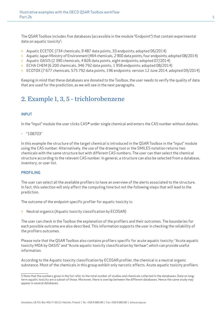The QSAR Toolbox includes five databases (accessible in the module "Endpoint") that contain experimental data on aquatic toxicity<sup>5</sup>:

- » Aquatic ECETOC (734 chemicals, 9 487 data points, 33 endpoints; adopted 06/2014)
- » Aquatic Japan Ministry of Environment (464 chemicals, 2 900 data points, four endpoints; adopted 08/2014)
- » Aquatic OASIS (2 390 chemicals, 4 826 data points, eight endpoints; adopted 07/2014)
- » ECHA CHEM (6 200 chemicals, 346 792 data points, 1 958 endpoints; adopted 08/2014)
- » ECOTOX (7 677 chemicals, 575 792 data points, 196 endpoints; version 12 June 2014, adopted 09/2014)

Keeping in mind that these databases are donated to the Toolbox, the user needs to verify the quality of data that are used for the prediction, as we will see in the next paragraphs.

# 2. Example 1, 3, 5 - trichlorobenzene

#### INPUT

In the "Input" module the user clicks CAS# under single chemical and enters the CAS number without dashes:

- "108703"

In this example the structure of the target chemical is introduced in the QSAR Toolbox in the "Input" module using the CAS number. Alternatively, the use of the drawing tool or the SMILES notation returns two chemicals with the same structure but with different CAS numbers. The user can then select the chemical structure according to the relevant CAS number. In general, a structure can also be selected from a database, inventory, or user list.

#### PROFILING

The user can select all the available profilers to have an overview of the alerts associated to the structure. In fact, this selection will only affect the computing time but not the following steps that will lead to the prediction.

The outcome of the endpoint specific profiler for aquatic toxicity is:

» Neutral organics (Aquatic toxicity classification by ECOSAR)

The user can check in the Toolbox the explanation of the profilers and their outcomes. The boundaries for each possible outcome are also described. This information supports the user in checking the reliability of the profilers outcomes.

Please note that the QSAR Toolbox also contains profilers specific for acute aquatic toxicity: "Acute aquatic toxicity MOA by OASIS" and "Acute aquatic toxicity classification by Verhaar", which can provide useful information.

According to the Aquatic toxicity classification by ECOSAR profiler, the chemical is a neutral organic substance. Most of the chemicals in this group exhibit only narcotic effects. Acute aquatic toxicity profilers

<sup>5</sup> Note that the numbers given in the list refer to the total number of studies and chemicals collected in the databases. Data on longterm aquatic toxicity are a subset of those. Moreover, there is overlap between the different databases. Hence the same study may appear in several databases.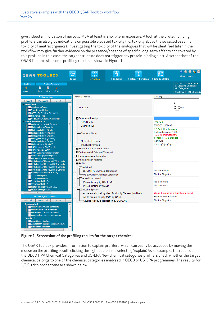give indeed an indication of narcotic MoA at least in short-term exposure. A look at the protein binding profilers can also give indications on possible elevated toxicity (i.e. toxicity above the so called baseline toxicity of neutral organics). Investigating the toxicity of the analogues that will be identified later in the workflow may give further evidence on the presence/absence of specific long-term effects not covered by this profiler. In this case, the target structure does not trigger any protein-binding alert. A screenshot of the QSAR Toolbox with some profiling results is shown in Figure 1.



Figure 1. Screenshot of the profiling results for the target chemical.

The QSAR Toolbox provides information to explain profilers, which can easily be accessed by moving the mouse on the profiling result, clicking the right button and selecting 'Explain'. As an example, the results of the OECD HPV Chemical Categories and US-EPA New chemical categories profilers check whether the target chemical belongs to one of the chemical categories analysed in OECD or US-EPA programmes. The results for 1,3,5-trichlorobenzene are shown below: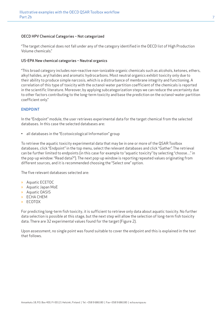#### OECD HPV Chemical Categories – Not categorized

"The target chemical does not fall under any of the category identified in the OECD list of High Production Volume chemicals."

#### US-EPA New chemical categories – Neutral organics

"This broad category includes non-reactive non-ionizable organic chemicals such as alcohols, ketones, ethers, alkyl halides, aryl halides and aromatic hydrocarbons. Most neutral organics exhibit toxicity only due to their ability to produce simple narcosis, which is a distrurbance of membrane integrity and functioning. A correlation of this type of toxicity with the octanol-water partition coefficient of the chemicals is reported in the scientific literature. Moreover, by applying subcategorization steps we can reduce the uncertainty due to other factors contributing to the long-term toxicity and base the prediction on the octanol-water partition coefficient only."

#### ENDPOINT

In the "Endpoint" module, the user retrieves experimental data for the target chemical from the selected databases. In this case the selected databases are:

• all databases in the "Ecotoxicological Information" group

To retrieve the aquatic toxicity experimental data that may be in one or more of the QSAR Toolbox databases, click "Endpoint" in the top menu, select the relevant databases and click "Gather". The retrieval can be further limited to endpoints (in this case for example to "aquatic toxicity" by selecting "choose…" in the pop-up window: "Read data?"). The next pop-up window is reporting repeated values originating from different sources, and it is recommended choosing the "Select one" option.

The five relevant databases selected are:

- » Aquatic ECETOC
- » Aquatic Japan MoE
- » Aquatic OASIS
- » ECHA CHEM
- » ECOTOX

For predicting long-term fish toxicity, it is sufficient to retrieve only data about aquatic toxicity. No further data selection is possible at this stage, but the next step will allow the selection of long-term fish toxicity data. There are 32 experimental values found for the target (Figure 2).

Upon assessment, no single point was found suitable to cover the endpoint and this is explained in the text that follows.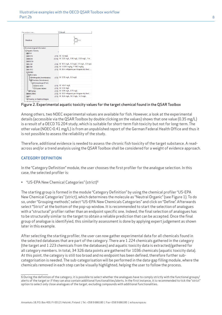| Filter endpoint tree                  |       | 1 [target]                                     |
|---------------------------------------|-------|------------------------------------------------|
| Structure                             |       |                                                |
| <b>E</b> Ecotoxicological Information |       |                                                |
| <b>Aquatic Toxicity</b>               |       |                                                |
| <b>HRChV</b>                          |       |                                                |
| <b>FREC10</b>                         |       | $(1/1)$ M: >2 mg/L                             |
| <b>HEC50</b>                          |       | (1/10) M: 2.25 mg/L, 1.96 mg/L, 0.59 mg/L, 1 m |
| -FIIGC50                              |       |                                                |
| <b>FFILC50</b>                        | (1/4) | M: 12.3 mg/L, 3.3 mg/L, 3.3 mg/L, 3.2 mg/L     |
| <b>FFII D50</b>                       | (1/2) | M: 5.53E3 mg/kg, 7.19E3 mg/kg                  |
| <b>FFILOEC</b>                        | (1/3) | M: 59.4 milligrams per kilogram dry food,      |
| <b>FINOEC</b>                         |       |                                                |
| <b>-</b> Animalia                     |       |                                                |
| <b>HArthropoda (Invertebrates)</b>    |       | (1/2) M: 0.32 mg/L, 0.2 mg/L                   |
| Chordata (Vertebrates)                |       |                                                |
| <b>-</b> Actinopterygii (Fish)        |       |                                                |
| <b>HEDanio</b> rerio                  | (1/1) | $M: > 0.41$ mg/L                               |
| HDOryzias latipes                     | (1/1) | M: 0.35 mg/L                                   |
| <b>H</b> <sub>F</sub> IPlantae        | (1/2) | M: 0.59 mg/L, 0.71 mg/L                        |
| <b>FINR-ZERO</b>                      | (1/3) | M: 58.2 milligrams per kilogram dry food,      |
| <b>FIPT</b>                           | (1/3) | M: 12.8 mg/L, 14.1 mg/L, 14.1 mg/L             |
| <b>HIToxicity on Daphnia Magna</b>    |       |                                                |
| Our discussion (Technology of         |       |                                                |

#### Figure 2. Experimental aquatic toxicity values for the target chemical found in the QSAR Toolbox

Among others, two NOEC experimental values are available for fish. However, a look at the experimental details (accessible via the QSAR Toolbox by double clicking on the values) shows that one value (0.35 mg/L) is a result of a OECD TG 204 study, which is suitable for short-term fish toxicity but not for long-term. The other value (NOEC>0.41 mg/L) is from an unpublished report of the German Federal Health Office and thus it is not possible to assess the reliability of the study.

Therefore, additional evidence is needed to assess the chronic fish toxicity of the target substance. A readacross and/or a trend analysis using the QSAR Toolbox shall be considered for a weight of evidence approach.

#### CATEGORY DEFINITION

In the "Category Definition" module, the user chooses the first profiler for the analogue selection. In this case, the selected profiler is:

• "US-EPA New Chemical Categories" (strict)6

The starting group is formed in the module "Category Definition" by using the chemical profiler "US-EPA New Chemical Categories" (strict), which determines the molecule as "Neutral Organic" (see Figure 1). To do so, under "Grouping methods", select "US-EPA New Chemicals Categories" and click on "Define". Afterwards select "Strict" at the bottom of the pop-up window. It is recommended to start the selection of analogues with a "structural" profiler rather than an endpoint specific one. Indeed, the final selection of analogues has to be structurally similar to the target to obtain a reliable prediction that can be accepted. Once the final group of analogue is identifyied, this similarity assessment is done by applying expert judgement as shown later in this example.

After selecting the starting profiler, the user can now gather experimental data for all chemicals found in the selected databases that are part of the category. There are 1 224 chemicals gathered in the category (the target and 1 223 chemicals from the databases) and aquatic toxicity data is extracted/gathered for all category members. In total, 34 326 data points are gathered for 1036 chemicals (aquatic toxicity data). At this point, the category is still too broad and no endpoint has been defined, therefore further subcategorisation is needed. The sub-categorisation will be performed in the data-gap filling module, where the chemicals removed in each step can be visually highlighted, helping the user to follow the process.

<sup>6</sup> During the definition of the category, it is possible to select whether the analogues have to comply strictly with the functional groups/ alerts of the target or if they can also contain additional functionalities/alerts. In the first instance, it is recommended to tick the "strict" option to select only close analogues of the target, excluding compounds with additional functionalities.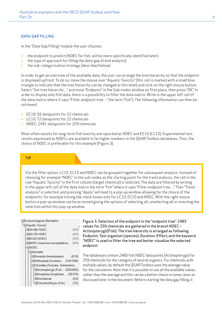#### DATA-GAP FILLING

In the "Data Gap Filling" module the user chooses:

- » the endpoint to predict (NOEC for fish, will be more specifically identified later)
- » the type of approach for filling the data-gap (trend analysis)
- » the sub-categorisation strategy (described below)

In order to get an overview of the available data, the user can arrange the tree hierarchy so that the endpoint is displayed upfront. To do so, move the mouse over "Aquatic Toxicity" (this cell is marked with a small blue triangle to indicate that the tree hierarchy can be changed at this level) and click on the right mouse button. Select "Set tree hierarchy…" and move "Endpoint" in the Sub-nodes window on first place, then press "OK". In order to display only fish data, there is a possibility to filter the data matrix. Write in the upper left cell of the data matrix where it says "Filter endpoint tree…" the term "fish"). The following information can then be retrieved:

- » EC10: 56 datapoints for 52 chemicals
- » LC10: 72 datapoints for 22 chemicals
- » NOEC: 2491 datapoints for 259 chemicals

Most often results for long-term fish toxicity are reported as NOEC and EC10 (LC10). Experimental test results expressed as NOECs are available in far higher numbers in the QSAR Toolbox databases. Thus, the choice of NOEC is preferable for this example (Figure 3).

#### TIP

Via the filter option, LC10, EC10 and NOEC can be grouped together for subsequent analysis. Instead of choosing for example "NOEC" in the sub-nodes as the starting point for the trend analysis, the cell in the row "Aquatic Toxicity" in the first column (target chemical) is selected. The data are filtered by writing in the upper left cell of the data matrix the term "fish" where it says "Filter endpoint tree…". Then "Trend analysis" is selected, and pressing "Apply" will lead to a pop-up window allowing for the choice of the endpoints, for example ticking the check boxes only for LC10, EC10 and NOEC. With the right mouse button a pop-up window can be accessed giving the options of selecting all, unselecting all or inverting the selection within this pop-up window.

#### 日Ecotoxicological Information

|  | └⊟Aquatic Toxicity                       |        |
|--|------------------------------------------|--------|
|  | 田24-48h NOEC                             | (1/1)  |
|  | 田24-72h NOEC                             | (1/1)  |
|  | 田EC20 (NOEC)                             | (1/1)  |
|  | ⊞MATC (maximum-acceptable-to             | (1/1)  |
|  | FINOEC                                   |        |
|  | $\exists$ Animalia                       |        |
|  | <del>[I</del> ]Annelida (Invertebrates)  | (9/19) |
|  | ⊞Arthropoda (Crustace (310/1366)         |        |
|  | <b>⊟Chordata (Tunicata, Vertebrates)</b> |        |
|  | 田Actinopterygii (Fish (259/2483)         |        |
|  | 田Amphibia (Amphibian (29/370)            |        |
|  | 田Ascidiacea                              | (2/5)  |
|  | 田Chondrichthyes (Fish)                   | (1/5)  |
|  |                                          |        |

Figure 3. Selection of the endpoint in the "endpoint tree". 2483 values for 259 chemicals are gathered in the branch NOEC > Actinopterygii(Fish). The tree hierarchy is arranged as following: Endpoint, Test organism (species), Duration, Effect; and the keyword "NOEC" is used to filter the tree and better visualize the selected endpoint.

The databases contain 2483 fish NOEC data points (Actinopterygii) for 259 chemicals for the category of neutral organics. For chemicals with multiple values, by default the QSAR Toolbox uses the average value for the calculation. Note that it is possible to use all the available values rather than the average and this can be a better choice in some cases as discussed later in the document. Before starting the data gap filling, it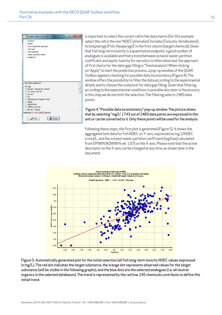

is important to select the correct cell in the data matrix (for this example select the cell in the row "NOEC\Animalia\Chordata (Tunicata, Vertebrates)\ Actinopterygii (Fish, Neoperygii)" in the first column (target chemical). Given that fish long-term toxicity is a quantitative endpoint, a good number of analogues is available and that a trend between octanol-water partition coefficient and aqutic toxicity for narcotics is often observed, the approach of first choice for the data-gap filling is "Trend analysis". When clicking on "Apply" to start the prediction process, a pop-up window of the QSAR Toolbox appears checking for possible data inconsistency (Figure 4). The window offers the possibility to filter the data according to the experimental details and to choose the scale/unit for data gap filling. Given that filtering according to the experimental conditions is possible also later in the process, in this step we do not limit the selection. The filtering selects 2483 data points.

#### Figure 4. "Possible data inconsistency" pop-up window. The picture shows that by selecting "mg/L", 1743 out of 2483 data points are expressed in this unit or can be converted to it. Only these points will be used for the analysis.

Following these steps, the first plot is generated (Figure 5). It shows the aggregated test data for fish NOEC on Y-axis, expressed as log 1/NOEC in mol/L, and the octanol-water partition coefficient (log Kow) calculated from EPIWIN (KOWWIN ver. 1.67) on the X-axis. Please note that the active descriptor on the X-axis can be changed at any time, as shown later in the document.



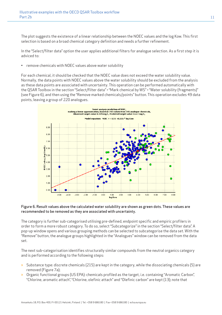The plot suggests the existence of a linear relationship between the NOEC values and the log Kow. This first selection is based on a broad chemical category definition and needs a further refinement.

In the "Select/filter data" option the user applies additional filters for analogue selection. As a first step it is adviced to:

• remove chemicals with NOEC values above water solubility

For each chemical, it should be checked that the NOEC value does not exceed the water solubility value. Normally, the data points with NOEC values above the water solubility should be excluded from the analysis as these data points are associated with uncertainty. This operation can be performed automatically with the QSAR Toolbox in the section "Select/filter data" > "Mark chemical by WS" > "Water solubility (fragments)" (see Figure 6), and then using the "Remove marked chemicals/points" button. This operation excludes 49 data points, leaving a group of 220 analogues.



#### Figure 6. Result values above the calculated water solubility are shown as green dots. These values are recommended to be removed as they are associated with uncertainty.

The category is further sub-categorised utilising pre-defined, endpoint specific and empiric profilers in order to form a more robust category. To do so, select "Subcategorize" in the section "Select/filter data". A pop-up window opens and various grouping methods can be selected to subcategorise the data set. With the "Remove" button, the analogue groups highlighted in the "Analogues" window can be removed from the data set.

The next sub-categorisation identifies structurally similar compounds from the neutral organics category and is performed according to the following steps:

- » Substance type: discrete chemicals (215) are kept in the category, while the dissociating chemicals (5) are removed (Figure 7a);
- » Organic functional groups (US EPA): chemicals profiled as the target, i.e. containing "Aromatic Carbon", "Chlorine, aromatic attach", "Chlorine, olefinic attach" and "Olefinic carbon" are kept (13); note that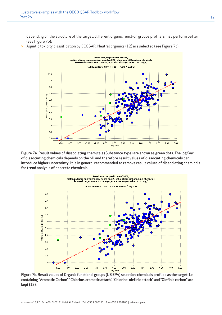depending on the structure of the target, different organic function groups profilers may perform better (see Figure 7b);

» Aquatic toxicity classification by ECOSAR: Neutral organics (12) are selected (see Figure 7c).



Figure 7a. Result values of dissociating chemicals (Substance type) are shown as green dots. The logKow of dissociating chemicals depends on the pH and therefore result values of dissociating chemicals can introduce higher uncertainty. It is in general recommended to remove result values of dissociating chemicals for trend analysis of descrete chemicals.



Figure 7b. Result values of Organic functional groups (US EPA) selection: chemicals profiled as the target, i.e. containing "Aromatic Carbon", "Chlorine, aromatic attach", "Chlorine, olefinic attach" and "Olefinic carbon" are kept (13).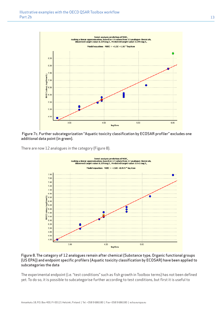

 Figure 7c. Further subcategorization "Aquatic toxicity classification by ECOSAR profiler" excludes one additional data point (in green).

There are now 12 analogues in the category (Figure 8).



Figure 8. The category of 12 analogues remain after chemical (Substance type, Organic functional groups (US EPA)) and endpoint specific profilers (Aquatic toxicity classification by ECOSAR) have been applied to subcategories the data

The experimental endpoint (i.e. "test conditions" such as fish growth in Toolbox terms) has not been defined yet. To do so, it is possible to subcategorise further according to test conditions, but first it is useful to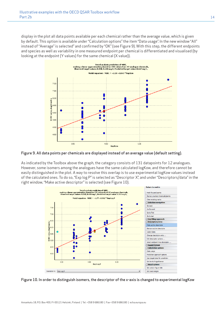display in the plot all data points available per each chemical rather than the average value, which is given by default. This option is available under "Calculation options" the item "Data usage". In the new window "All" instead of "Average" is selected" and confirmed by "OK" (see Figure 9). With this step, the different endpoints and species as well as variability in one measured endpoint per chemical is differentiated and visualised (by looking at the endpoint (Y values) for the same chemical (X value)).



Figure 9. All data points per chemicals are displayed instead of an average value (default setting).

As indicated by the Toolbox above the graph, the category consists of 131 datapoints for 12 analogues. However, some isomers among the analogues have the same calculated logKow, and therefore cannot be easily distinguished in the plot. A way to resolve this overlap is to use experimental logKow values instead of the calculated ones. To do so, "Exp log P" is selected as "Descriptor X", and under "Descriptors/data" in the right window, "Make active descriptor" is selected (see Figure 10).



Figure 10. In order to distinguish isomers, the descriptor of the x-axis is changed to experimental logKow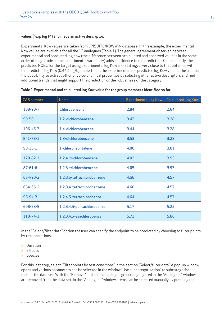#### values ("exp log P") and made an active descriptor.

Experimental Kow values are taken from EPISUITE/KOWWIN database. In this example, the experimental Kow values are available for all the 12 analogues (Table 1). The general agreement observed between experimental and predicted log Kow (the difference between pcalculated and observed value is in the same order of magnitude as the experimental variability) adds confidence to the prediction. Consequently, the predicted NOEC for the target using experimental log Kow is 0.313 mg/L, very close to that obtained with the predicted log Kow (0.442 mg/L). Table 1 lists the experimental and predicted log Kow values. The user has the possibility to extract other physico-chemical properties by selecting other active descriptors and find additional trends that might support the prediction or the robustness of the category.

| <b>CAS number</b> | <b>Name</b>                | <b>Experimental log Kow</b> | <b>Calculated log Kow</b> |
|-------------------|----------------------------|-----------------------------|---------------------------|
| 108-90-7          | Chlorobenzene              | 2.84                        | 2.64                      |
| $90 - 50 - 1$     | 1,2-dichlorobenzene        | 3.43                        | 3.28                      |
| 106-46-7          | 1,4-dichlorobenzene        | 3.44                        | 3.28                      |
| $541 - 73 - 1$    | 1,3-dichlorobenzene        | 3.53                        | 3.28                      |
| $90-13-1$         | 1-chloronaphtalene         | 4.00                        | 3.81                      |
| 120-82-1          | 1,2,4-trichlorobenzene     | 4.02                        | 3.93                      |
| $87 - 61 - 6$     | 1,2,3-trichlorobenzene     | 4.05                        | 3.93                      |
| 634-90-2          | 1.2.3.5-tetrachlorobenzene | 4.56                        | 4.57                      |
| 634-66-2          | 1,2,3,4-tetrachlorobenzene | 4.60                        | 4.57                      |
| $95 - 94 - 3$     | 1,2,4,5-tetrachlorobenze   | 4.64                        | 4.57                      |
| 608-93-5          | 1,2,3,4,5-pentachlorobenze | 5.17                        | 5.22                      |
| $118 - 74 - 1$    | 1,2,3,4,5-esachlorobenze   | 5.73                        | 5.86                      |

#### Table 1 Experimental and calculated log Kow value for the group members identified so far.

In the "Select/filter data" option the user can specify the endpoint to be predicted by choosing to filter points by test conditions:

- » Duration
- » Effects
- » Species

For this last step, select "Filter points by test conditions" in the section "Select/filter data". A pop-up window opens and various parameters can be selected in the window "Use subcategorization" to subcategorise further the data set. With the "Remove" button, the analogue groups highlighted in the "Analogues" window are removed from the data set. In the "Analogues" window, items can be selected manually by pressing the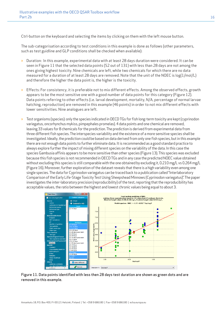Ctrl-button on the keyboard and selecting the items by clicking on them with the left mouse button.

The sub-categorisation according to test conditions in this example is done as follows (other parameters, such as test guidline and GLP conditions shall be checked when available):

- » Duration: In this example, experimental data with at least 28 days duration were considered. It can be seen in Figure 11 that the selected data points (52 out of 131) with less than 28 days are not among the ones giving highest toxicity. Nine chemicals are left, while two chemicals for which there are no data measured for a duration of at least 28 days are removed. Note that the unit of the NOEC is log(1/mol/L) and therefore the higher the data point is, the higher is the toxicity.
- » Effects: For consistency, it is preferable not to mix different effects. Among the observed effects, growth appears to be the most sensitive one with a good number of data points for this category (Figure 12). Data points referring to other effects (i.e. larval development, mortality, N/A, percentage of normal larvae hatching, reproduction) are removed in this example (46 points) in order to not mix different effects with lower sensitivities. Nine analogues are left.
- » Test organisms (species): only the species indicated in OECD TGs for fish long-term toxicity are kept (cyprinodon variegatus, oncorhynchus mykiss, pimpephales promelas). 4 data points and one chemical are removed, leaving 33 values for 8 chemicals for the prediction. The prediction is derived from experimental data from three different fish species. The interspecies variability and the existence of a more sensitive species shall be investigated. Ideally, the prediction could be based on data derived from only one fish species, but in this example there are not enough data points to further eliminate data. It is recommended as a good standard practice to always explore further the impact of mixing different species on the variability of the data. In this case the species Gambusia affinis appears to be more sensitive than other species (Figure 13). This species was excluded because this fish species is not recommended in OECD TGs and in any case the predicted NOEC value obtained without excluding this species is still comparable with the one obtained by excluding it, 0.210 mg/L vs 0.264 mg/L (Figure 16). Moreover, further exploration of the dataset reveals that there is a high variability even among one single species. The data for Cyprinodon variegatus can be traced back to a publication called "Interlaboratory Comparison of the Early Life-Stage Toxicity Test Using Sheepshead Minnows (Cyprinodon variegatus)". The paper investigates the inter-laboratory precision (reproducibility) of the test, reporting that the reproducibility has acceptable values, the ratio between the highest and lowest chronic values being equal to about 3.



Figure 11. Data points identified with less then 28 days test duration are shown as green dots and are removed in this example.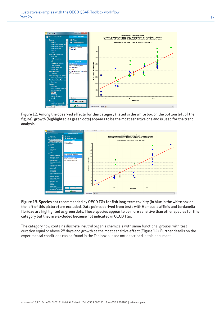

Figure 12. Among the observed effects for this category (listed in the white box on the bottom left of the figure), growth (highlighted as green dots) appears to be the most sensitive one and is used for the trend analysis.



Figure 13. Species not recommended by OECD TGs for fish long-term toxicity (in blue in the white box on the left of this picture) are excluded. Data points derived from tests with Gambusia affinis and Jordanella floridae are highlighted as green dots. These species appear to be more sensitive than other species for this category but they are excluded because not indicated in OECD TGs.

The category now contains discrete, neutral organis chemicals with same functional groups, with test duration equal or above 28 days and growth as the most sensitive effect (Figure 14). Further details on the experimental conditions can be found in the Toolbox but are not described in this document.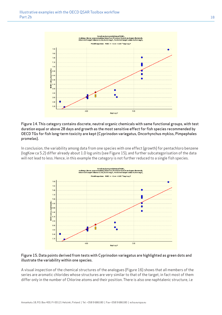

Figure 14. This category contains discrete, neutral organic chemicals with same functional groups, with test duration equal or above 28 days and growth as the most sensitive effect for fish species recommended by OECD TGs for fish long-term toxicity are kept (Cyprinodon variegatus, Oncorhynchus mykiss, Pimpephales promelas).

In conclusion, the variability among data from one species with one effect (growth) for pentachloro benzene (logKow ca 5.2) differ already about 1.0 log units (see Figure 15), and further subcategorisation of the data will not lead to less. Hence, in this example the category is not further reduced to a single fish species.



#### Figure 15. Data points derived from tests with Cyprinodon variegatus are highlighted as green dots and illustrate the variability within one species.

A visual inspection of the chemical structures of the analogues (Figure 16) shows that all members of the series are aromatic chlorides whose structures are very similar to that of the target, in fact most of them differ only in the number of Chlorine atoms and their position. There is also one naphtalenic structure, i.e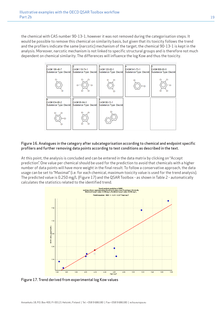the chemical with CAS number 90-13-1, however it was not removed during the categorisation steps. It would be possible to remove this chemical on similarity basis, but given that its toxicity follows the trend and the profilers indicate the same (narcotic) mechanism of the target, the chemical 90-13-1 is kept in the analysis. Moreover, narcotic mechanism is not linked to specific structural groups and is therefore not much dependent on chemical similarity. The differences will influence the log Kow and thus the toxicity.



#### Figure 16. Analogues in the category after subcategorisation according to chemical and endpoint specific profilers and further removing data points according to test conditions as described in the text.

At this point, the analysis is concluded and can be entered in the data matrix by clicking on "Accept prediction". One value per chemical should be used for the prediction to avoid that chemicals with a higher number of data points will have more weight in the final result. To follow a conservative approach, the data usage can be set to "Maximal" (i.e. for each chemical, maximum toxicity value is used for the trend analysis). The predicted value is 0.250 mg/L (Figure 17) and the QSAR Toolbox - as shown in Table 2 - automatically calculates the statistics related to the identified trend.



Figure 17. Trend derived from experimental log Kow values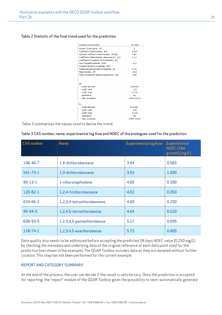#### Table 2 Statistic of the final trend used for the prediction

| Statistical characteristics                         | <b>TA</b> model    |
|-----------------------------------------------------|--------------------|
| Number of data points, (N)                          | 8                  |
| Coefficient of determination, (R2)                  | 0.829              |
| Adjusted coefficient of determination, (R2adj)      | 0.801              |
| Coefficient of determination - leave one out, (Q2)  | 0.711              |
| Coefficient of correlation for external set. (r2)   | ÷.                 |
| Sum of squared residuals, (SSR)                     | 1.11               |
| Standard deviation of residuals, (sN)               |                    |
| Sample standard deviation of residuals, (s)         | 0.431              |
| Fisher function, (F)                                | 29.2               |
| Fisher threshold for statistical significance, (Fa) | 9.35               |
|                                                     |                    |
|                                                     |                    |
| b <sub>0</sub>                                      |                    |
| - model descriptor                                  | Intercept          |
| - coeff, value                                      | 1.23               |
| - coeff. range                                      | ± 2.23             |
| - significance                                      | No                 |
| - max. covariation                                  | $0.994$ (vs b1)    |
|                                                     |                    |
| b1                                                  |                    |
| - model descriptor                                  | Exp Log P          |
| - coeff, value                                      | 1.10               |
| - coeff. range                                      | ± 0.50             |
| - significance                                      | Yes                |
| - max. covariation                                  | $0.994$ (vs $b0$ ) |

Table 3 summarises the values used to derive the trend.

#### Table 3 CAS number, name, experimental log Kow and NOEC of the analogues used for the prediction

| <b>CAS</b> number | <b>Name</b>                | <b>Experimental log Kow</b> | <b>Experimental</b><br><b>NOEC (28d,</b><br>growth) [mg/L] |
|-------------------|----------------------------|-----------------------------|------------------------------------------------------------|
| 106-46-7          | 1,4-dichlorobenzene        | 3.44                        | 0.565                                                      |
| $541 - 73 - 1$    | 1,3-dichlorobenzene        | 3.53                        | 1.000                                                      |
| $90-13-1$         | 1-chloronaphtalene         | 4.00                        | 0.390                                                      |
| 120-82-1          | 1,2,4-trichlorobenzene     | 4.02                        | 0.350                                                      |
| 634-66-2          | 1,2,3,4-tetrachlorobenzene | 4.60                        | 0.250                                                      |
| $95 - 94 - 3$     | 1,2,4,5-tetrachlorobenze   | 4.64                        | 0.520                                                      |
| 608-93-5          | 1,2,3,4,5-pentachlorobenze | 5.17                        | 0.095                                                      |
| 118-74-1          | 1,2,3,4,5-esachlorobenze   | 5.73                        | 0.005                                                      |

Data quality also needs to be addressed before accepting the predicted 28 days NOEC value (0.250 mg/L) by checking the metadata and underlying data of the original reference of each data point used for the prediction (not shown in the example). The QSAR Toolbox includes data as they are donated without further curation. This step has not been performed for the current example.

#### REPORT AND CATEGORY SUMMARY

At the end of the process, the user can decide if the result is satisfactory. Once the prediction is accepted for reporting, the "report" module of the QSAR Toolbox gives the possibility to semi-automatically generate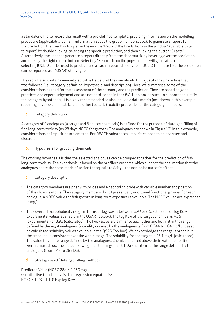a standalone file to record the result with a pre-defined template, providing information on the modelling procedure (applicability domain, information about the group members, etc.). To generate a report for the prediction, the user has to open in the module "Report" the Predictions in the window "Available data to report" by double clicking, selecting the specific prediction, and then clicking the button "Create". Alternatively, the user can generate a report directly from the data matrix by hovering over the prediction and clicking the right mouse button. Selecting "Report" from the pop-up menu will generate a report, selecting IUCLID can be used to produce and attach a report directly to a IUCLID template file. The prediction can be reported as a "QSAR" study type.

The report also contains manually editable fields that the user should fill to justify the procedure that was followed (i.e., category definition, hypothesis, and description). Here, we summarise some of the considerations needed for the assessment of the category and the prediction. They are based on good practices and expert judgement and are not hard-coded in the QSAR Toolbox as such. To support and justify the category hypothesis, it is highly recommended to also include a data matrix (not shown in this example) reporting physico-chemical, fate and other (aquatic) toxicity properties of the category members.

#### a. Category definition

A category of 9 analogues (a target and 8 source chemicals) is defined for the purpose of data-gap filling of fish long-term toxicity (as 28 days NOEC for growth). The analogues are shown in Figure 17. In this example, considerations on impurities are omitted. For REACH substances, impurities need to be analysed and discussed.

**b.** Hypothesis for grouping chemicals

The working hypothesis is that the selected analogues can be grouped together for the prediction of fish long-term toxicity. The hypothesis is based on the profilers outcome which support the assumption that the analogues share the same mode of action for aquatic toxicity – the non-polar narcotic effect.

- c. Category description
- The category members are phenyl chlorides and a naphtyl chloride with variable number and position of the chlorine atoms. The category members do not present any additional functional groups. For each analogue, a NOEC value for fish growth in long-term exposure is available. The NOEC values are expressed in mg/L.
- The covered hydrophobicity range in terms of log Kow is between 3.44 and 5.73 (based on log Kow experimental values available in the QSAR Toolbox). The log Kow of the target chemical is 4.19 (experimental) or 3.93 (calculated). The two values are similar to each other and both fit in the range defined by the eight analogues. Solubility covered by the analogues is from 0.344 to 104 mg/L. (based on calculated solubility values available in the QSAR Toolbox). We acknowledge the range is broad but the trend looks consistent over the whole range. The solubility for the target is 26.1 mg/L (calculated). The value fits in the range defined by the analogues. Chemicals tested above their water solubility were removed too. The molecular weight of the target is 181 Da and fits into the range defined by the analogues (from 147 to 285 Da).
	- d. Strategy used (data-gap filling method)

Predicted Value (NOEC 28d)= 0.250 mg/L Quantitative trend analysis. The regression equation is: NOEC = 1.23 + 1.10\* Exp log Kow.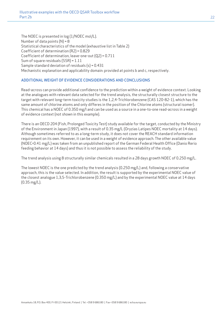The NOEC is presented in log (1/NOEC mol/L). Number of data points  $(N) = 8$ Statistical characteristics of the model (exhaustive list in Table 2) Coefficient of determination (R2) = 0.829 Coefficient of determination, leave-one-out (Q2) = 0.711 Sum of square residuals (SSR) = 1.11 Sample standard deviation of residuals  $(s) = 0.431$ Mechanistic explanation and applicability domain: provided at points b and c, respectively.

#### ADDITIONAL WEIGHT OF EVIDENCE CONSIDERATIONS AND CONCLUSIONS

Read-across can provide additional confidence to the prediction within a weight of evidence context. Looking at the analogues with relevant data selected for the trend analysis, the structurally closest structure to the target with relevant long-term toxicity studies is the 1,2,4-Trichlorobenzene (CAS 120-82-1), which has the same amount of chlorine atoms and only differes in the position of the Chlorine atoms (structural isomer). This chemical has a NOEC of 0.350 mg/l and can be used as a source in a one-to-one read-across in a weight of evidence context (not shown in this example).

There is an OECD 204 (Fish, Prolonged Toxicity Test) study available for the target, conducted by the Ministry of the Environment in Japan (1997), with a result of 0.35 mg/L (Oryzias Latipes NOEC mortality at 14 days). Although sometimes referred to as a long-term study, it does not cover the REACH standard information requirement on its own. However, it can be used in a weight of evidence approach. The other available value (NOEC>0.41 mg/L) was taken from an unpublished report of the German Federal Health Office (Danio Rerio feeding behavior at 14 days) and thus it is not possible to assess the reliability of the study.

The trend analysis using 8 structurally similar chemicals resulted in a 28 days growth NOEC of 0.250 mg/L.

The lowest NOEC is the one predicted by the trend analysis (0.250 mg/L) and, following a conservative approach, this is the value selected. In addition, the result is supported by the experimental NOEC value of the closest analogue 1,3,5-Trichlorobenzene (0.350 mg/L) and by the experimental NOEC value at 14 days (0.35 mg/L).